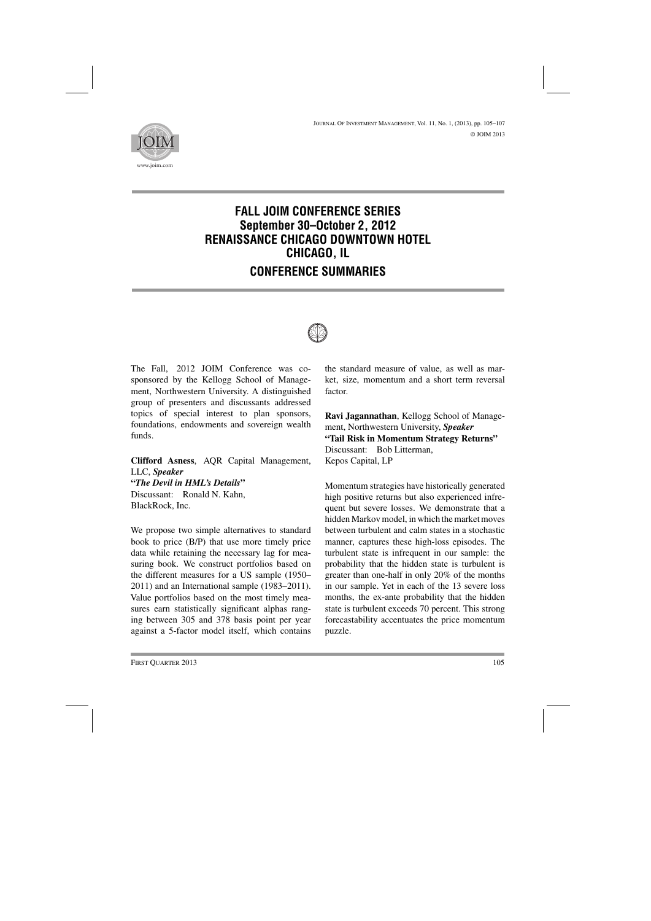

## **FALL JOIM CONFERENCE SERIES September 30–October 2, 2012 RENAISSANCE CHICAGO DOWNTOWN HOTEL CHICAGO, IL CONFERENCE SUMMARIES**



The Fall, 2012 JOIM Conference was cosponsored by the Kellogg School of Management, Northwestern University. A distinguished group of presenters and discussants addressed topics of special interest to plan sponsors, foundations, endowments and sovereign wealth funds.

**Clifford Asness**, AQR Capital Management, LLC, *Speaker* **"***The Devil in HML's Details***"** Discussant: Ronald N. Kahn, BlackRock, Inc.

We propose two simple alternatives to standard book to price (B/P) that use more timely price data while retaining the necessary lag for measuring book. We construct portfolios based on the different measures for a US sample (1950– 2011) and an International sample (1983–2011). Value portfolios based on the most timely measures earn statistically significant alphas ranging between 305 and 378 basis point per year against a 5-factor model itself, which contains the standard measure of value, as well as market, size, momentum and a short term reversal factor.

**Ravi Jagannathan**, Kellogg School of Management, Northwestern University, *Speaker* **"Tail Risk in Momentum Strategy Returns"** Discussant: Bob Litterman, Kepos Capital, LP

Momentum strategies have historically generated high positive returns but also experienced infrequent but severe losses. We demonstrate that a hidden Markov model, in which the market moves between turbulent and calm states in a stochastic manner, captures these high-loss episodes. The turbulent state is infrequent in our sample: the probability that the hidden state is turbulent is greater than one-half in only 20% of the months in our sample. Yet in each of the 13 severe loss months, the ex-ante probability that the hidden state is turbulent exceeds 70 percent. This strong forecastability accentuates the price momentum puzzle.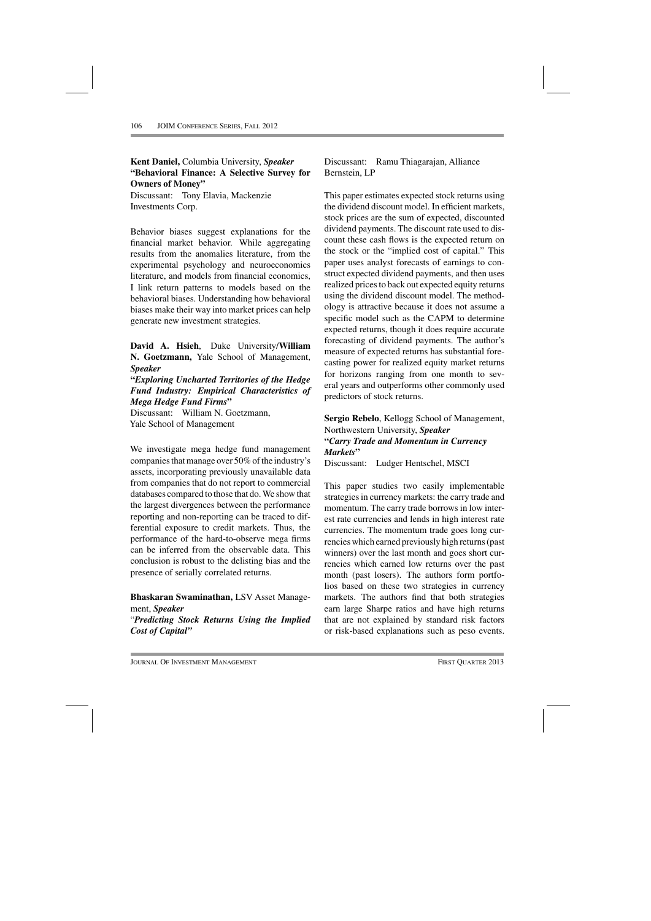**Kent Daniel,** Columbia University, *Speaker* **"Behavioral Finance: A Selective Survey for Owners of Money"**

Discussant: Tony Elavia, Mackenzie Investments Corp.

Behavior biases suggest explanations for the financial market behavior. While aggregating results from the anomalies literature, from the experimental psychology and neuroeconomics literature, and models from financial economics, I link return patterns to models based on the behavioral biases. Understanding how behavioral biases make their way into market prices can help generate new investment strategies.

**David A. Hsieh**, Duke University/**William N. Goetzmann,** Yale School of Management, *Speaker*

**"***Exploring Uncharted Territories of the Hedge Fund Industry: Empirical Characteristics of Mega Hedge Fund Firms***"**

Discussant: William N. Goetzmann, Yale School of Management

We investigate mega hedge fund management companies that manage over 50% of the industry's assets, incorporating previously unavailable data from companies that do not report to commercial databases compared to those that do. We show that the largest divergences between the performance reporting and non-reporting can be traced to differential exposure to credit markets. Thus, the performance of the hard-to-observe mega firms can be inferred from the observable data. This conclusion is robust to the delisting bias and the presence of serially correlated returns.

**Bhaskaran Swaminathan,** LSV Asset Management, *Speaker*

"*Predicting Stock Returns Using the Implied Cost of Capital"*

Discussant: Ramu Thiagarajan, Alliance Bernstein, LP

This paper estimates expected stock returns using the dividend discount model. In efficient markets, stock prices are the sum of expected, discounted dividend payments. The discount rate used to discount these cash flows is the expected return on the stock or the "implied cost of capital." This paper uses analyst forecasts of earnings to construct expected dividend payments, and then uses realized prices to back out expected equity returns using the dividend discount model. The methodology is attractive because it does not assume a specific model such as the CAPM to determine expected returns, though it does require accurate forecasting of dividend payments. The author's measure of expected returns has substantial forecasting power for realized equity market returns for horizons ranging from one month to several years and outperforms other commonly used predictors of stock returns.

**Sergio Rebelo**, Kellogg School of Management, Northwestern University, *Speaker* **"***Carry Trade and Momentum in Currency Markets***"**

Discussant: Ludger Hentschel, MSCI

This paper studies two easily implementable strategies in currency markets: the carry trade and momentum. The carry trade borrows in low interest rate currencies and lends in high interest rate currencies. The momentum trade goes long currencies which earned previously high returns (past winners) over the last month and goes short currencies which earned low returns over the past month (past losers). The authors form portfolios based on these two strategies in currency markets. The authors find that both strategies earn large Sharpe ratios and have high returns that are not explained by standard risk factors or risk-based explanations such as peso events.